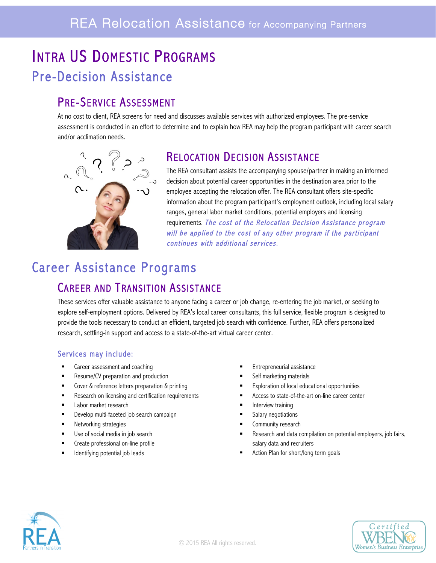# INTRA US DOMESTIC PROGRAMS Pre-Decision Assistance

PRE-SERVICE ASSESSMENT<br>At no cost to client, REA screens for need and discusses available services with authorized employees. The pre-service assessment is conducted in an effort to determine and to explain how REA may help the program participant with career search and/or acclimation needs.



# RELOCATION DECISION ASSISTANCE<br>The REA consultant assists the accompanying spouse/partner in making an informed

decision about potential career opportunities in the destination area prior to the employee accepting the relocation offer. The REA consultant offers site-specific information about the program participant's employment outlook, including local salary ranges, general labor market conditions, potential employers and licensing requirements. The cost of the Relocation Decision Assistance program will be applied to the cost of any other program if the participant continues with additional services.

## Career Assistance Programs

CAREER AND TRANSITION ASSISTANCE<br>These services offer valuable assistance to anyone facing a career or job change, re-entering the job market, or seeking to explore self-employment options. Delivered by REA's local career consultants, this full service, flexible program is designed to provide the tools necessary to conduct an efficient, targeted job search with confidence. Further, REA offers personalized research, settling-in support and access to a state-of-the-art virtual career center.

### Services may include:

- Career assessment and coaching **Entrepreneurial assistance Entrepreneurial assistance**
- Resume/CV preparation and production **EXECUTE:** Self marketing materials
- 
- Research on licensing and certification requirements **•** Access to state-of-the-art on-line career center
- Labor market research
- Develop multi-faceted job search campaign
- § Networking strategies
- Use of social media in job search
- § Create professional on-line profile
- § Identifying potential job leads
- 
- 
- Cover & reference letters preparation & printing **Exploration of local educational opportunities Exploration of local educational opportunities** 
	-
	- **■** Interview training
	- Salary negotiations
	- **EXECOMMUNITY research**
	- Research and data compilation on potential employers, job fairs, salary data and recruiters
	- § Action Plan for short/long term goals



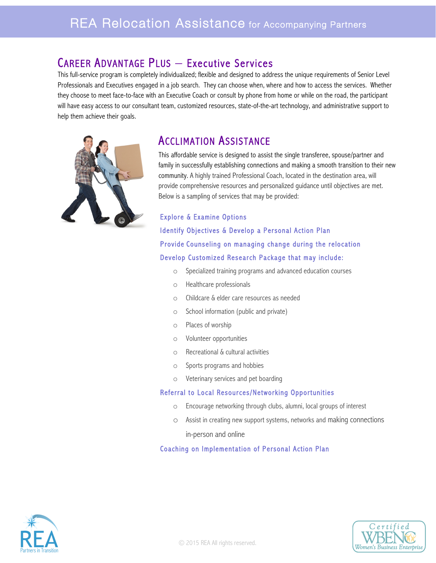# CAREER ADVANTAGE PLUS — Executive Services<br>This full-service program is completely individualized; flexible and designed to address the unique requirements of Senior Level

Professionals and Executives engaged in a job search. They can choose when, where and how to access the services. Whether they choose to meet face-to-face with an Executive Coach or consult by phone from home or while on the road, the participant will have easy access to our consultant team, customized resources, state-of-the-art technology, and administrative support to help them achieve their goals.



ACCLIMATION ASSISTANCE<br>This affordable service is designed to assist the single transferee, spouse/partner and family in successfully establishing connections and making a smooth transition to their new community. A highly trained Professional Coach, located in the destination area, will provide comprehensive resources and personalized guidance until objectives are met. Below is a sampling of services that may be provided:

### Explore & Examine Options Identify Objectives & Develop a Personal Action Plan Provide Counseling on managing change during the relocation Develop Customized Research Package that may include:

- o Specialized training programs and advanced education courses
- o Healthcare professionals
- o Childcare & elder care resources as needed
- o School information (public and private)
- o Places of worship
- o Volunteer opportunities
- o Recreational & cultural activities
- o Sports programs and hobbies
- o Veterinary services and pet boarding

### Referral to Local Resources/Networking Opportunities

- o Encourage networking through clubs, alumni, local groups of interest
- o Assist in creating new support systems, networks and making connections

in-person and online

### Coaching on Implementation of Personal Action Plan